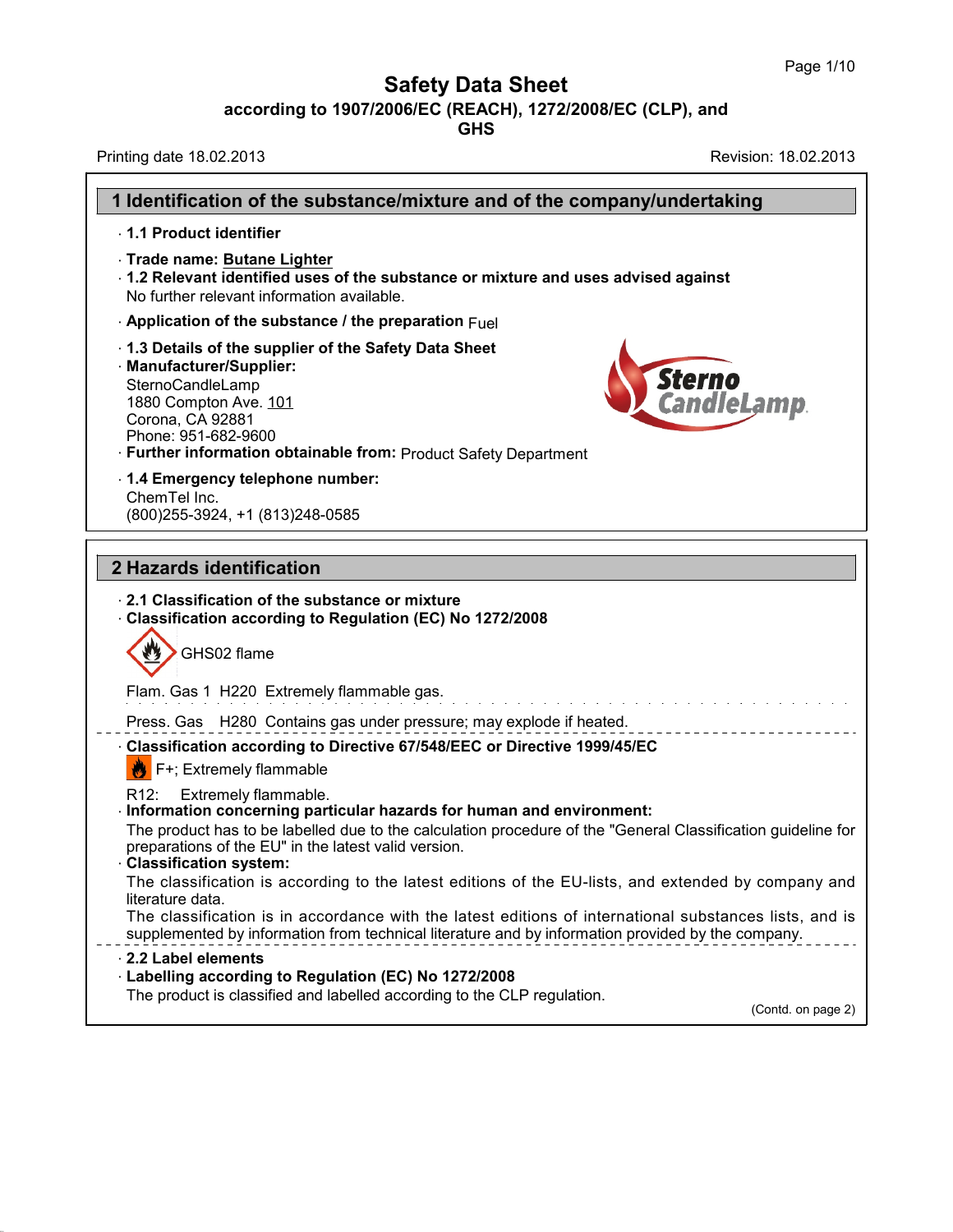٦

# **Safety Data Sheet**

**according to 1907/2006/EC (REACH), 1272/2008/EC (CLP),and**

**GHS**

Printing date 18.02.2013 **Revision: 18.02.2013** 

| 1 Identification of the substance/mixture and of the company/undertaking                                                                                                                                                                     |                              |
|----------------------------------------------------------------------------------------------------------------------------------------------------------------------------------------------------------------------------------------------|------------------------------|
| 1.1 Product identifier                                                                                                                                                                                                                       |                              |
| Trade name: Butane Lighter<br>1.2 Relevant identified uses of the substance or mixture and uses advised against<br>No further relevant information available.                                                                                |                              |
| $\cdot$ Application of the substance / the preparation $Fuel$                                                                                                                                                                                |                              |
| 1.3 Details of the supplier of the Safety Data Sheet<br>· Manufacturer/Supplier:<br>SternoCandleLamp<br>1880 Compton Ave. 101<br>Corona, CA 92881<br>Phone: 951-682-9600<br>· Further information obtainable from: Product Safety Department | <i>Sterno<br/>CandleLamp</i> |
| 1.4 Emergency telephone number:<br>ChemTel Inc.<br>(800) 255-3924, +1 (813) 248-0585                                                                                                                                                         |                              |
| 2 Hazards identification                                                                                                                                                                                                                     |                              |
| Classification according to Regulation (EC) No 1272/2008<br>GHS02 flame                                                                                                                                                                      |                              |
| Flam. Gas 1 H220 Extremely flammable gas.                                                                                                                                                                                                    |                              |
| Press. Gas H280 Contains gas under pressure; may explode if heated.                                                                                                                                                                          |                              |
| - Classification according to Directive 67/548/EEC or Directive 1999/45/EC<br>$\mathbf{B}$ F+; Extremely flammable                                                                                                                           |                              |
| Extremely flammable.<br>R12:<br>· Information concerning particular hazards for human and environment:<br>The product has to be labelled due to the calculation procedure of the "General Classification guideline for                       |                              |
| preparations of the EU" in the latest valid version.<br><b>Classification system:</b><br>The classification is according to the latest editions of the EU-lists, and extended by company and                                                 |                              |
| literature data.<br>The classification is in accordance with the latest editions of international substances lists, and is<br>supplemented by information from technical literature and by information provided by the company.              |                              |
| 2.2 Label elements<br>- Labelling according to Regulation (EC) No 1272/2008<br>The product is classified and labelled according to the CLP regulation.                                                                                       | (Contd. on page 2)           |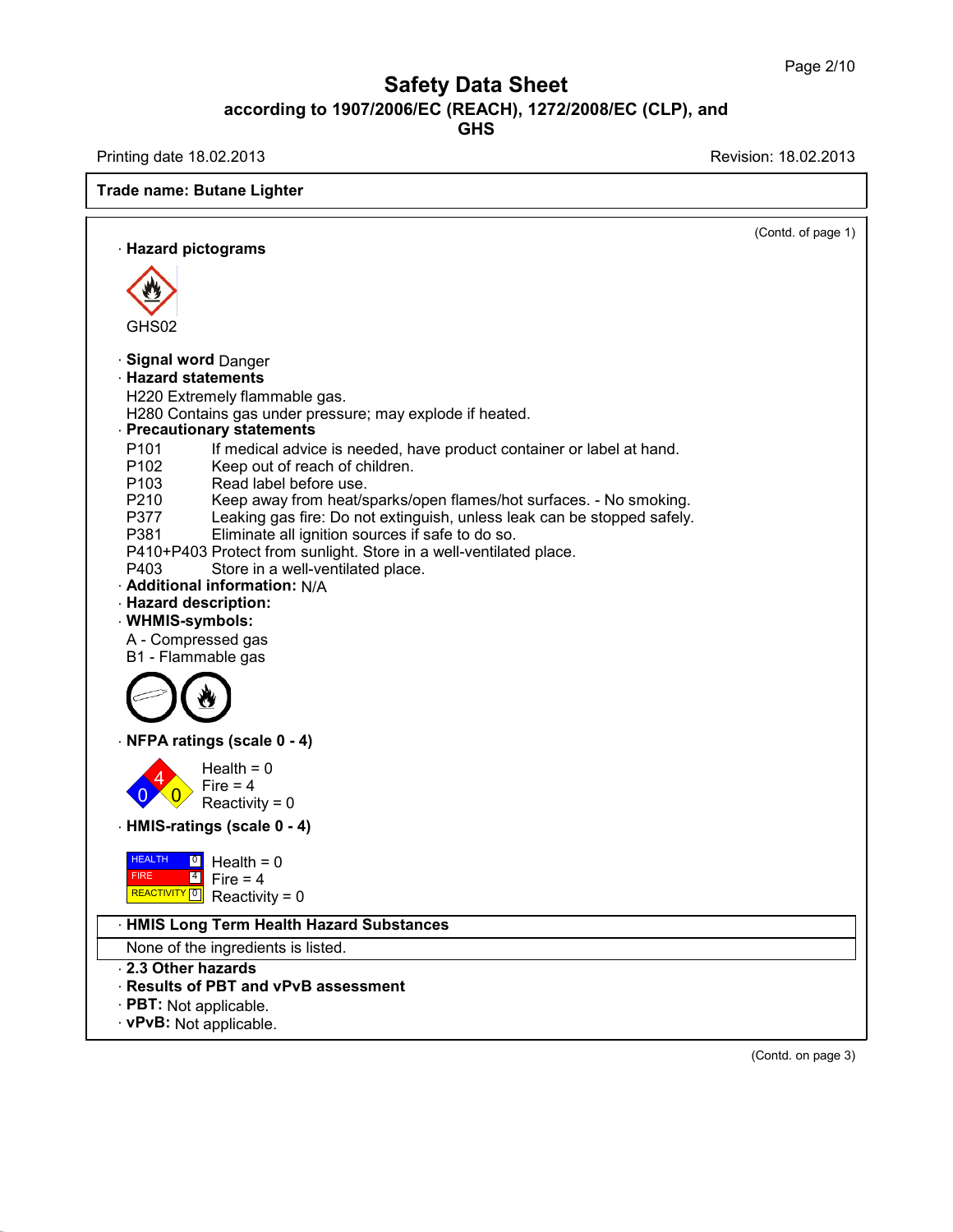Printing date 18.02.2013 **Revision: 18.02.2013** 

| <b>Trade name: Butane Lighter</b>                                                                                                               |                    |
|-------------------------------------------------------------------------------------------------------------------------------------------------|--------------------|
| · Hazard pictograms                                                                                                                             | (Contd. of page 1) |
|                                                                                                                                                 |                    |
|                                                                                                                                                 |                    |
|                                                                                                                                                 |                    |
| GHS02                                                                                                                                           |                    |
| · Signal word Danger                                                                                                                            |                    |
| <b>Hazard statements</b>                                                                                                                        |                    |
| H220 Extremely flammable gas.                                                                                                                   |                    |
| H280 Contains gas under pressure; may explode if heated.                                                                                        |                    |
| · Precautionary statements                                                                                                                      |                    |
| P <sub>101</sub><br>If medical advice is needed, have product container or label at hand.<br>P <sub>102</sub><br>Keep out of reach of children. |                    |
| P <sub>103</sub><br>Read label before use.                                                                                                      |                    |
| P210<br>Keep away from heat/sparks/open flames/hot surfaces. - No smoking.                                                                      |                    |
| Leaking gas fire: Do not extinguish, unless leak can be stopped safely.<br>P377                                                                 |                    |
| P381<br>Eliminate all ignition sources if safe to do so.                                                                                        |                    |
| P410+P403 Protect from sunlight. Store in a well-ventilated place.                                                                              |                    |
| Store in a well-ventilated place.<br>P403<br>- Additional information: N/A                                                                      |                    |
| · Hazard description:                                                                                                                           |                    |
| · WHMIS-symbols:                                                                                                                                |                    |
| A - Compressed gas                                                                                                                              |                    |
| B1 - Flammable gas                                                                                                                              |                    |
|                                                                                                                                                 |                    |
|                                                                                                                                                 |                    |
|                                                                                                                                                 |                    |
| NFPA ratings (scale 0 - 4)                                                                                                                      |                    |
| Health = $0$                                                                                                                                    |                    |
| Fire $= 4$<br>Reactivity = $0$                                                                                                                  |                    |
|                                                                                                                                                 |                    |
| · HMIS-ratings (scale 0 - 4)                                                                                                                    |                    |
| <b>HEALTH</b><br>$\boxed{0}$<br>Health = $0$                                                                                                    |                    |
| $\boxed{4}$ Fire = 4<br><b>FIRE</b>                                                                                                             |                    |
| $R$ EACTIVITY <sup>0</sup> Reactivity = 0                                                                                                       |                    |
| <b>HMIS Long Term Health Hazard Substances</b>                                                                                                  |                    |
| None of the ingredients is listed.                                                                                                              |                    |
| 2.3 Other hazards                                                                                                                               |                    |
| Results of PBT and vPvB assessment                                                                                                              |                    |
| · PBT: Not applicable.                                                                                                                          |                    |
| · vPvB: Not applicable.                                                                                                                         |                    |

(Contd. on page 3)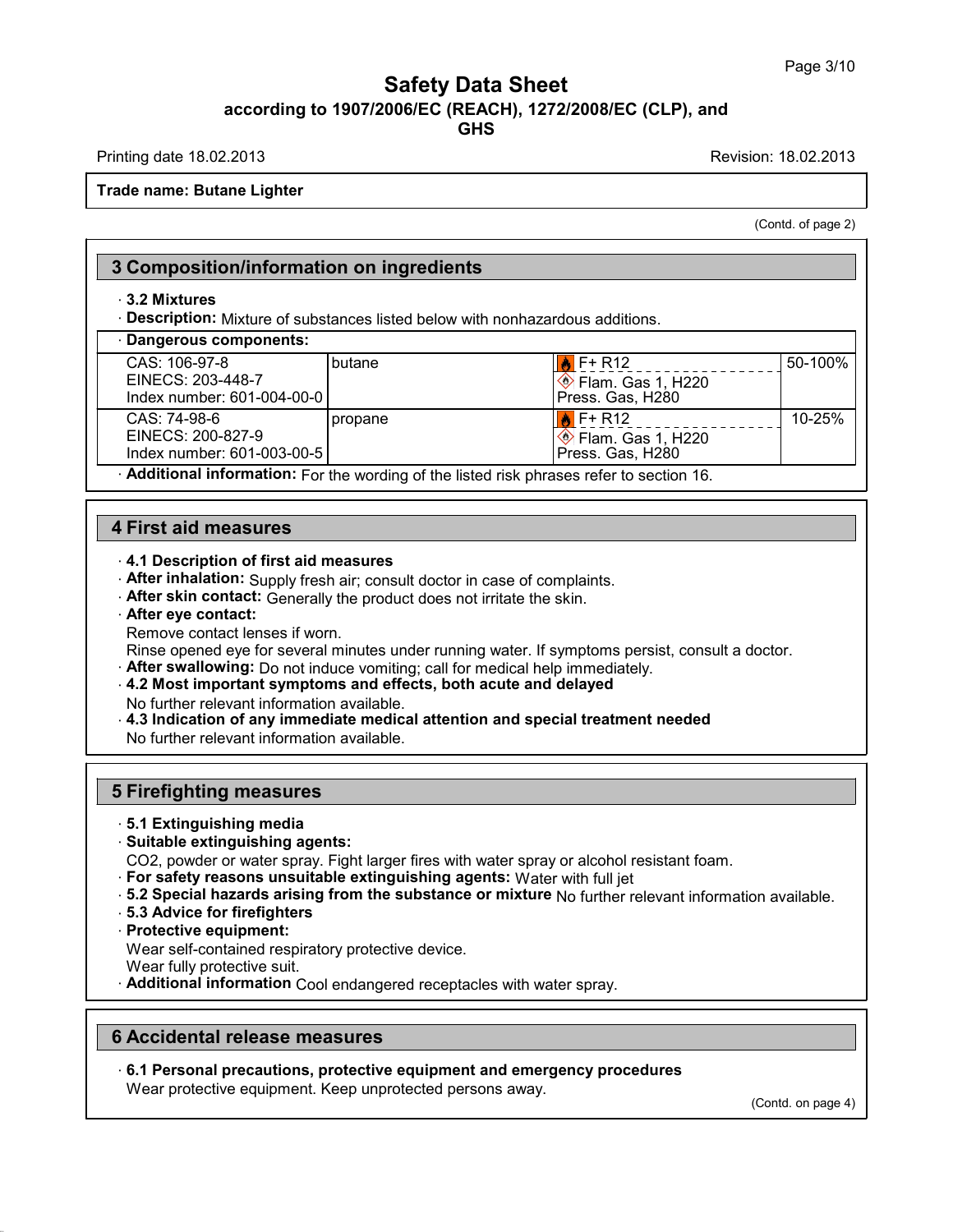Printing date 18.02.2013 Revision: 18.02.2013

**Trade name: Butane Lighter**

(Contd. of page 2)

# **3 Composition/information on ingredients**

#### · **3.2 Mixtures**

· **Description:** Mixture of substances listed below with nonhazardous additions.

| Dangerous components:                                             |                                                                                               |                                                           |         |
|-------------------------------------------------------------------|-----------------------------------------------------------------------------------------------|-----------------------------------------------------------|---------|
| CAS: 106-97-8<br>EINECS: 203-448-7<br>Index number: 601-004-00-01 | I butane                                                                                      | F+ R12<br>$\otimes$ Flam. Gas 1, H220<br>Press. Gas, H280 | 50-100% |
| CAS: 74-98-6<br>EINECS: 200-827-9                                 | I propane                                                                                     | $F+R12$<br>$\otimes$ Flam. Gas 1, H220                    | 10-25%  |
| Index number: 601-003-00-51                                       |                                                                                               | Press. Gas, H280                                          |         |
|                                                                   | <b>Additional information:</b> For the wording of the listed risk phrases refer to section 16 |                                                           |         |

· **Additional information:** For the wording of the listed risk phrases refer to section 16.

## **4 First aid measures**

### · **4.1 Description of first aid measures**

- · **After inhalation:** Supply fresh air; consult doctor in case of complaints.
- · **After skin contact:** Generally the product does notirritate the skin.
- · **After eye contact:**

Remove contact lenses if worn.

Rinse opened eye for several minutes under running water. If symptoms persist, consult a doctor.

- · **After swallowing:** Do not induce vomiting; call for medical help immediately.
- · **4.2 Most important symptoms and effects, both acute and delayed**

No further relevant information available.

· **4.3 Indication of any immediate medical attention and special treatment needed**

No further relevant information available.

# **5 Firefighting measures**

- · **5.1 Extinguishing media**
- · **Suitable extinguishing agents:**

CO2, powder or water spray. Fight larger fires with water spray or alcohol resistant foam.

- · **For safety reasons unsuitable extinguishing agents:** Water with full jet
- · **5.2 Special hazards arising from the substance ormixture** No further relevant information available.
- · **5.3 Advice for firefighters**
- · **Protective equipment:**

Wear self-contained respiratory protective device.

- Wear fully protective suit.
- · **Additional information** Cool endangered receptacles with water spray.

## **6 Accidental release measures**

· **6.1 Personal precautions, protective equipment and emergency procedures** Wear protective equipment. Keep unprotected persons away.

(Contd. on page 4)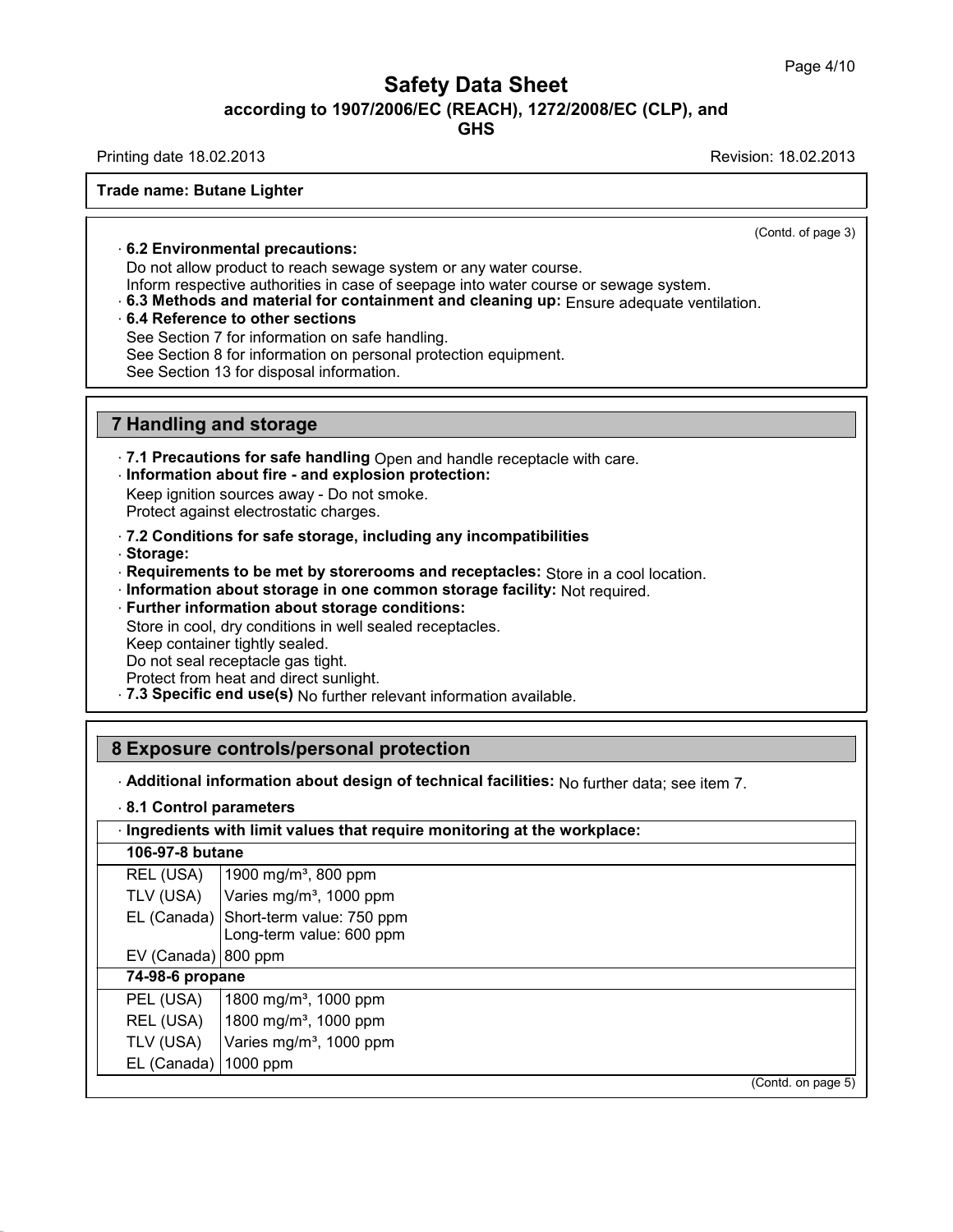Printing date 18.02.2013 Revision: 18.02.2013

(Contd. of page 3)

### **Trade name: Butane Lighter**

· **6.2 Environmental precautions:**

Do not allow product to reach sewage system or any water course.

Inform respective authorities in case of seepage into water course or sewage system.

· **6.3 Methods and material for containment and cleaning up:** Ensure adequate ventilation.

#### · **6.4 Reference to other sections**

See Section 7 for information on safe handling.

See Section 8 for information on personal protection equipment.

See Section 13 for disposal information.

## **7 Handling and storage**

· **7.1 Precautions for safe handling** Open and handle receptacle with care.

· **Information about fire - and explosion protection:**

Keep ignition sources away - Do not smoke. Protect against electrostatic charges.

· **7.2 Conditions for safe storage, including any incompatibilities**

· **Storage:**

· **Requirements to be met by storerooms and receptacles:** Store in a cool location.

· **Information about storage in one common storage facility:** Not required.

· **Further information about storage conditions:**

Store in cool, dry conditions in well sealed receptacles.

Keep container tightly sealed.

Do not seal receptacle gas tight.

Protect from heat and direct sunlight.

· **7.3 Specific end use(s)** No further relevant information available.

# **8 Exposure controls/personal protection**

· **Additional information about design of technical facilities:** No further data; see item 7.

|  |  |  | 8.1 Control parameters |  |
|--|--|--|------------------------|--|
|--|--|--|------------------------|--|

|                         | · Ingredients with limit values that require monitoring at the workplace: |
|-------------------------|---------------------------------------------------------------------------|
| 106-97-8 butane         |                                                                           |
| REL (USA)               | 1900 mg/m <sup>3</sup> , 800 ppm                                          |
| TLV (USA)               | Varies mg/m <sup>3</sup> , 1000 ppm                                       |
|                         | EL (Canada) Short-term value: 750 ppm<br>Long-term value: 600 ppm         |
| EV (Canada) 800 ppm     |                                                                           |
| 74-98-6 propane         |                                                                           |
| PEL (USA)               | 1800 mg/m <sup>3</sup> , 1000 ppm                                         |
| REL (USA)               | 1800 mg/m <sup>3</sup> , 1000 ppm                                         |
| TLV (USA)               | Varies mg/m <sup>3</sup> , 1000 ppm                                       |
| EL (Canada) $ 1000$ ppm |                                                                           |
|                         | (Contd. on page 5)                                                        |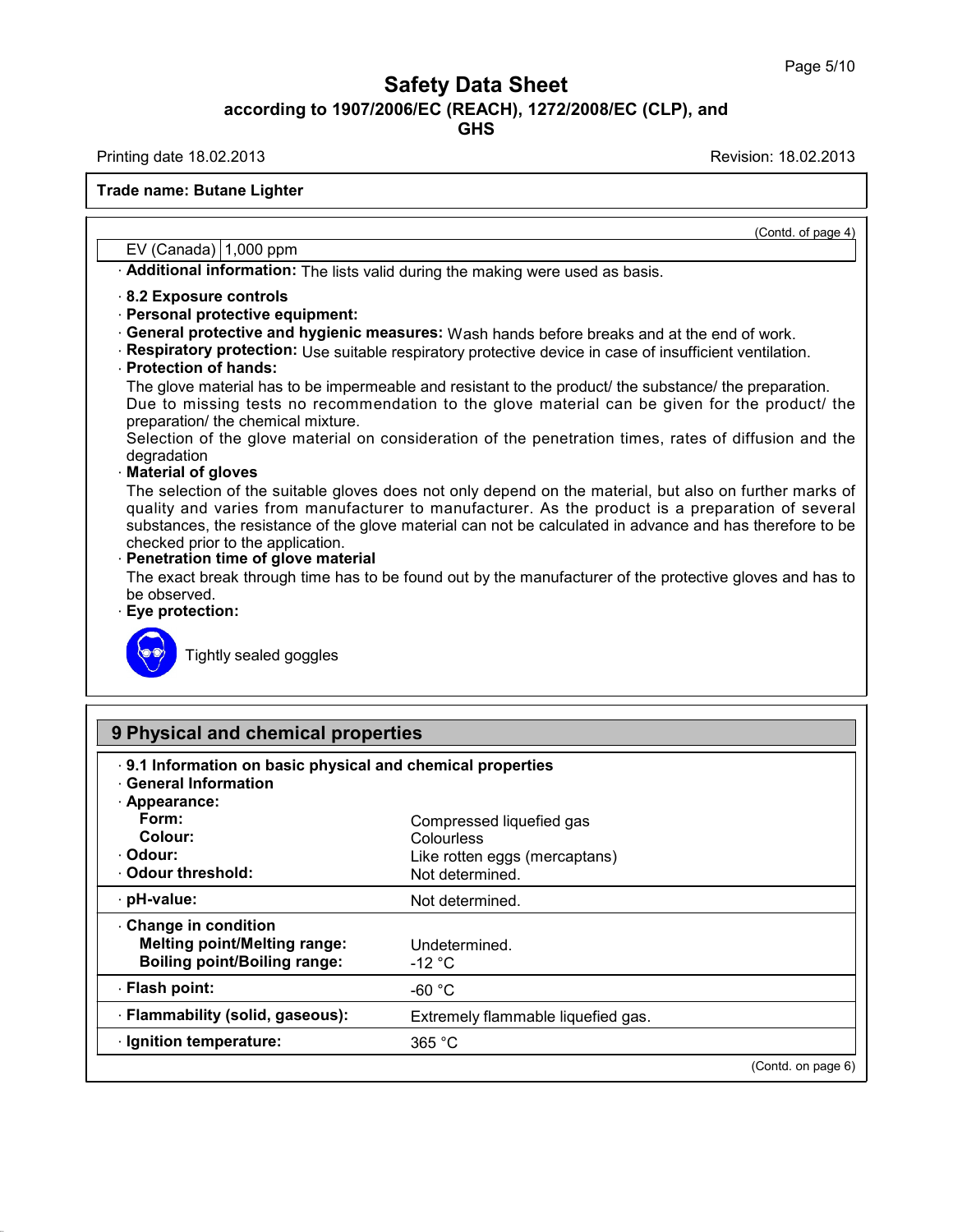Printing date 18.02.2013 Revision: 18.02.2013

**Trade name: Butane Lighter**

EV (Canada)  $1,000$  ppm

· **Additional information:** The lists valid during the making were used as basis.

#### · **8.2 Exposure controls**

- · **Personal protective equipment:**
- · **General protective and hygienic measures:** Wash hands before breaks and at the end of work.
- · **Respiratory protection:** Use suitable respiratory protective device in case of insufficient ventilation.

## · **Protection of hands:**

The glove material has to be impermeable and resistant to the product/ the substance/ the preparation. Due to missing tests no recommendation to the glove material can be given for the product/ the preparation/ the chemical mixture.

Selection of the glove material on consideration of the penetration times, rates of diffusion and the degradation

#### · **Material of gloves**

The selection of the suitable gloves does not only depend on the material, but also on further marks of quality and varies from manufacturer to manufacturer. As the product is a preparation of several substances, the resistance of the glove material can not be calculated in advance and has therefore to be checked prior to the application.

#### · **Penetration time of glove material**

The exact break through time has to be found out by the manufacturer of the protective gloves and has to be observed.

#### · **Eye protection:**



Tightly sealed goggles

| . 9.1 Information on basic physical and chemical properties<br><b>General Information</b> |                                    |                    |
|-------------------------------------------------------------------------------------------|------------------------------------|--------------------|
| · Appearance:                                                                             |                                    |                    |
| Form:                                                                                     | Compressed liquefied gas           |                    |
| Colour:                                                                                   | <b>Colourless</b>                  |                    |
| - Odour:                                                                                  | Like rotten eggs (mercaptans)      |                    |
| Odour threshold:                                                                          | Not determined.                    |                    |
| · pH-value:                                                                               | Not determined.                    |                    |
| Change in condition                                                                       |                                    |                    |
| <b>Melting point/Melting range:</b>                                                       | Undetermined.                      |                    |
| <b>Boiling point/Boiling range:</b>                                                       | -12 $^{\circ}$ C                   |                    |
| ⋅ Flash point:                                                                            | -60 $^{\circ}$ C                   |                    |
| · Flammability (solid, gaseous):                                                          | Extremely flammable liquefied gas. |                    |
|                                                                                           | 365 °C                             |                    |
| · Ignition temperature:                                                                   |                                    | (Contd. on page 6) |

(Contd. of page 4)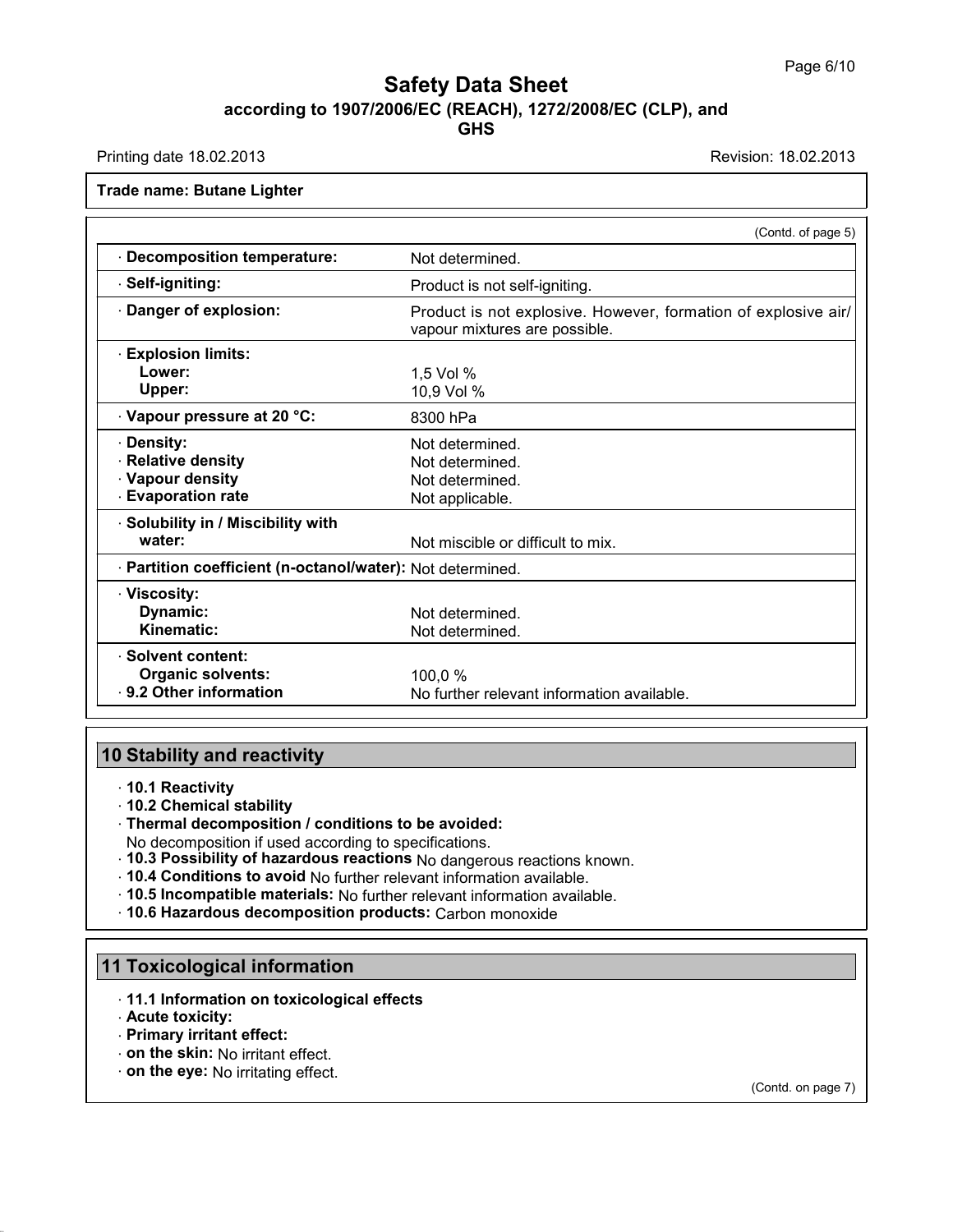Printing date 18.02.2013 Revision: 18.02.2013

**Trade name: Butane Lighter**

|                                                            | (Contd. of page 5)                                                                              |
|------------------------------------------------------------|-------------------------------------------------------------------------------------------------|
| <b>Decomposition temperature:</b>                          | Not determined.                                                                                 |
| Self-igniting:                                             | Product is not self-igniting.                                                                   |
| Danger of explosion:                                       | Product is not explosive. However, formation of explosive air/<br>vapour mixtures are possible. |
| <b>Explosion limits:</b>                                   |                                                                                                 |
| Lower:                                                     | 1,5 Vol %                                                                                       |
| Upper:                                                     | 10,9 Vol %                                                                                      |
| Vapour pressure at 20 °C:                                  | 8300 hPa                                                                                        |
| · Density:                                                 | Not determined.                                                                                 |
| <b>Relative density</b>                                    | Not determined.                                                                                 |
| · Vapour density                                           | Not determined.                                                                                 |
| <b>Evaporation rate</b>                                    | Not applicable.                                                                                 |
| Solubility in / Miscibility with                           |                                                                                                 |
| water:                                                     | Not miscible or difficult to mix.                                                               |
| · Partition coefficient (n-octanol/water): Not determined. |                                                                                                 |
| · Viscosity:                                               |                                                                                                 |
| Dynamic:                                                   | Not determined.                                                                                 |
| Kinematic:                                                 | Not determined.                                                                                 |
| · Solvent content:                                         |                                                                                                 |
| <b>Organic solvents:</b>                                   | 100,0 %                                                                                         |
| ⋅ 9.2 Other information                                    | No further relevant information available.                                                      |

## **10 Stability and reactivity**

- · **10.1 Reactivity**
- · **10.2 Chemical stability**
- · **Thermal decomposition / conditions to be avoided:**

No decomposition if used according to specifications.

- · **10.3 Possibility of hazardous reactions** No dangerous reactions known.
- · **10.4 Conditions to avoid** No further relevant information available.
- · **10.5 Incompatible materials:** No further relevant information available.

· **10.6 Hazardous decomposition products:** Carbon monoxide

# **11 Toxicological information**

- · **11.1 Information on toxicological effects**
- · **Acute toxicity:**
- · **Primary irritant effect:**
- · **on the skin:** No irritant effect.
- · **on the eye:** No irritating effect.

(Contd. on page 7)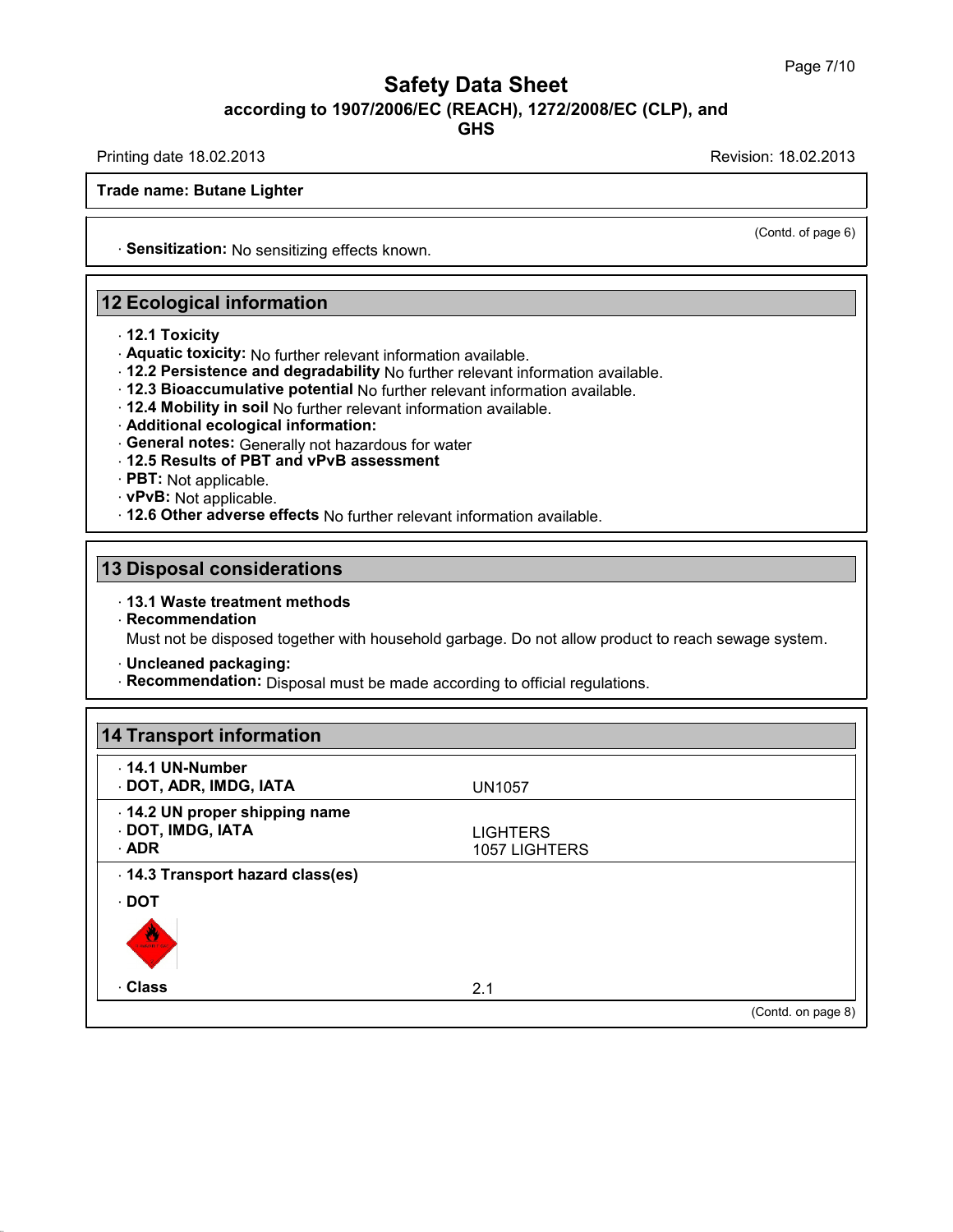**GHS**

Printing date 18.02.2013 Revision: 18.02.2013

**Trade name: Butane Lighter**

· **Sensitization:** No sensitizing effects known.

## **12 Ecological information**

- · **12.1 Toxicity**
- · **Aquatic toxicity:** No further relevant information available.
- · **12.2 Persistence and degradability** No further relevant information available.
- · **12.3 Bioaccumulative potential** No further relevant information available.
- · **12.4 Mobility in soil** No further relevant information available.
- · **Additional ecological information:**
- · **General notes:** Generally nothazardous for water
- · **12.5 Results of PBT and vPvB assessment**
- · **PBT:** Not applicable.
- · **vPvB:** Not applicable.
- · **12.6 Other adverse effects** No further relevant information available.

## **13 Disposal considerations**

### · **13.1 Waste treatment methods**

· **Recommendation**

Must not be disposed together with household garbage. Do not allow product to reach sewage system.

- · **Uncleaned packaging:**
- · **Recommendation:** Disposal must be made according to official regulations.

| $\cdot$ 14.1 UN-Number          |                 |  |
|---------------------------------|-----------------|--|
| · DOT, ADR, IMDG, IATA          | <b>UN1057</b>   |  |
| 14.2 UN proper shipping name    |                 |  |
| · DOT, IMDG, IATA               | <b>LIGHTERS</b> |  |
| <b>ADR</b>                      | 1057 LIGHTERS   |  |
| 14.3 Transport hazard class(es) |                 |  |
| · DOT                           |                 |  |
| <b>ANGEL CO.</b>                |                 |  |
| · Class                         | 2.1             |  |

(Contd. of page 6)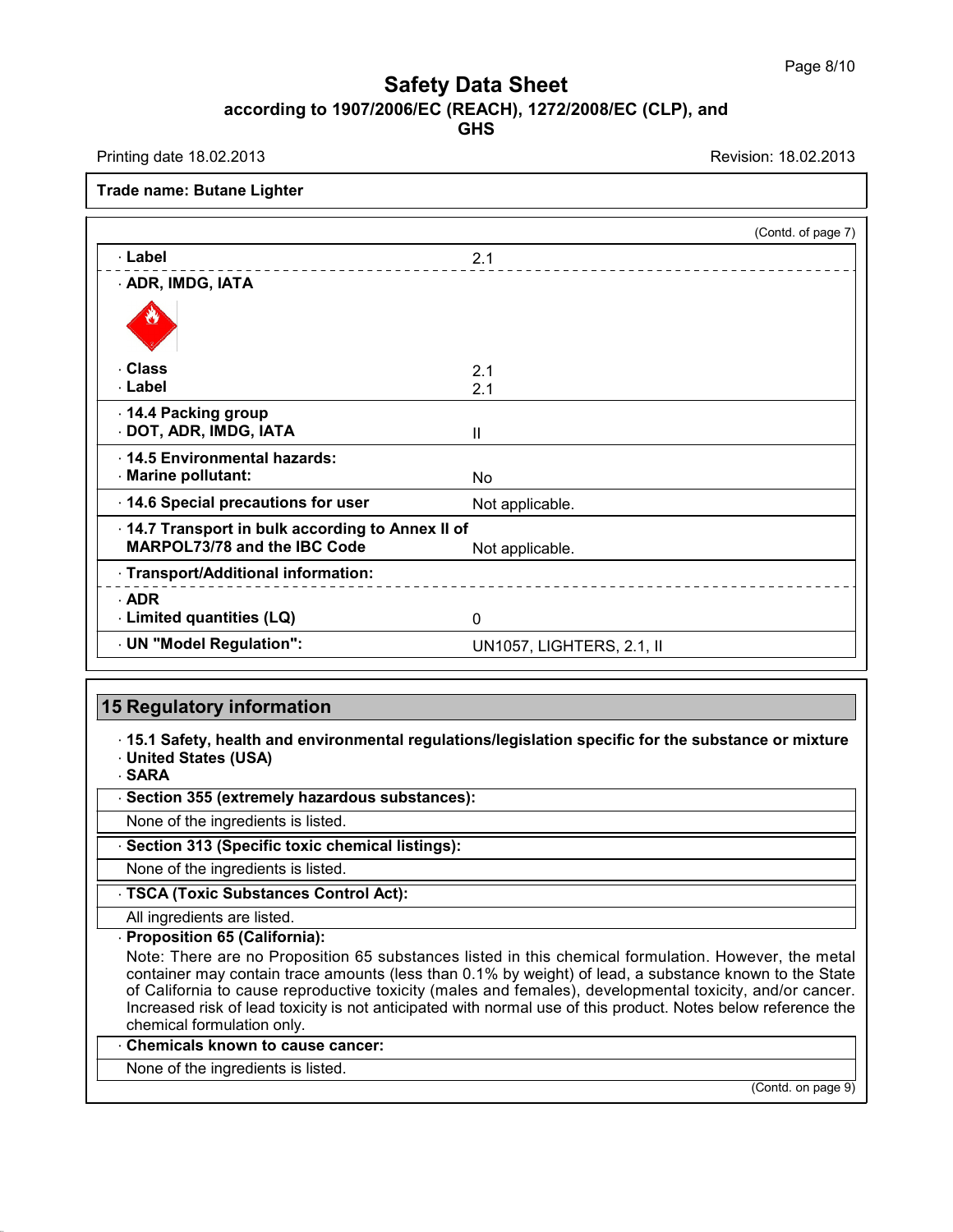Printing date 18.02.2013 Revision: 18.02.2013

#### **Trade name: Butane Lighter**

|                                                 |                           | (Contd. of page 7) |
|-------------------------------------------------|---------------------------|--------------------|
| · Label                                         | 2.1                       |                    |
| · ADR, IMDG, IATA                               |                           |                    |
|                                                 |                           |                    |
| <b>Class</b>                                    | 2.1                       |                    |
| · Label                                         | 2.1                       |                    |
| 14.4 Packing group                              |                           |                    |
| DOT, ADR, IMDG, IATA                            | Ш                         |                    |
| . 14.5 Environmental hazards:                   |                           |                    |
| · Marine pollutant:                             | No.                       |                    |
| 14.6 Special precautions for user               | Not applicable.           |                    |
| 14.7 Transport in bulk according to Annex II of |                           |                    |
| <b>MARPOL73/78 and the IBC Code</b>             | Not applicable.           |                    |
| · Transport/Additional information:             |                           |                    |
| ADR                                             |                           |                    |
| Limited quantities (LQ)                         | 0                         |                    |
| UN "Model Regulation":                          | UN1057, LIGHTERS, 2.1, II |                    |

## **15 Regulatory information**

· **15.1 Safety, health and environmental regulations/legislation specific for the substance ormixture** · **United States (USA)**

· **SARA**

· **Section 355 (extremely hazardous substances):**

None of the ingredients is listed.

· **Section 313 (Specific toxic chemical listings):**

None of the ingredients is listed.

· **TSCA (Toxic Substances Control Act):**

All ingredients are listed.

· **Proposition 65 (California):**

Note: There are no Proposition 65 substances listed in this chemical formulation. However, the metal container may contain trace amounts (less than 0.1% by weight) of lead, a substance known to the State of California to cause reproductive toxicity (males and females), developmental toxicity, and/or cancer. Increased risk of lead toxicity is not anticipated with normal use of this product. Notes below reference the chemical formulation only.

· **Chemicals known to cause cancer:**

None of the ingredients is listed.

(Contd. on page 9)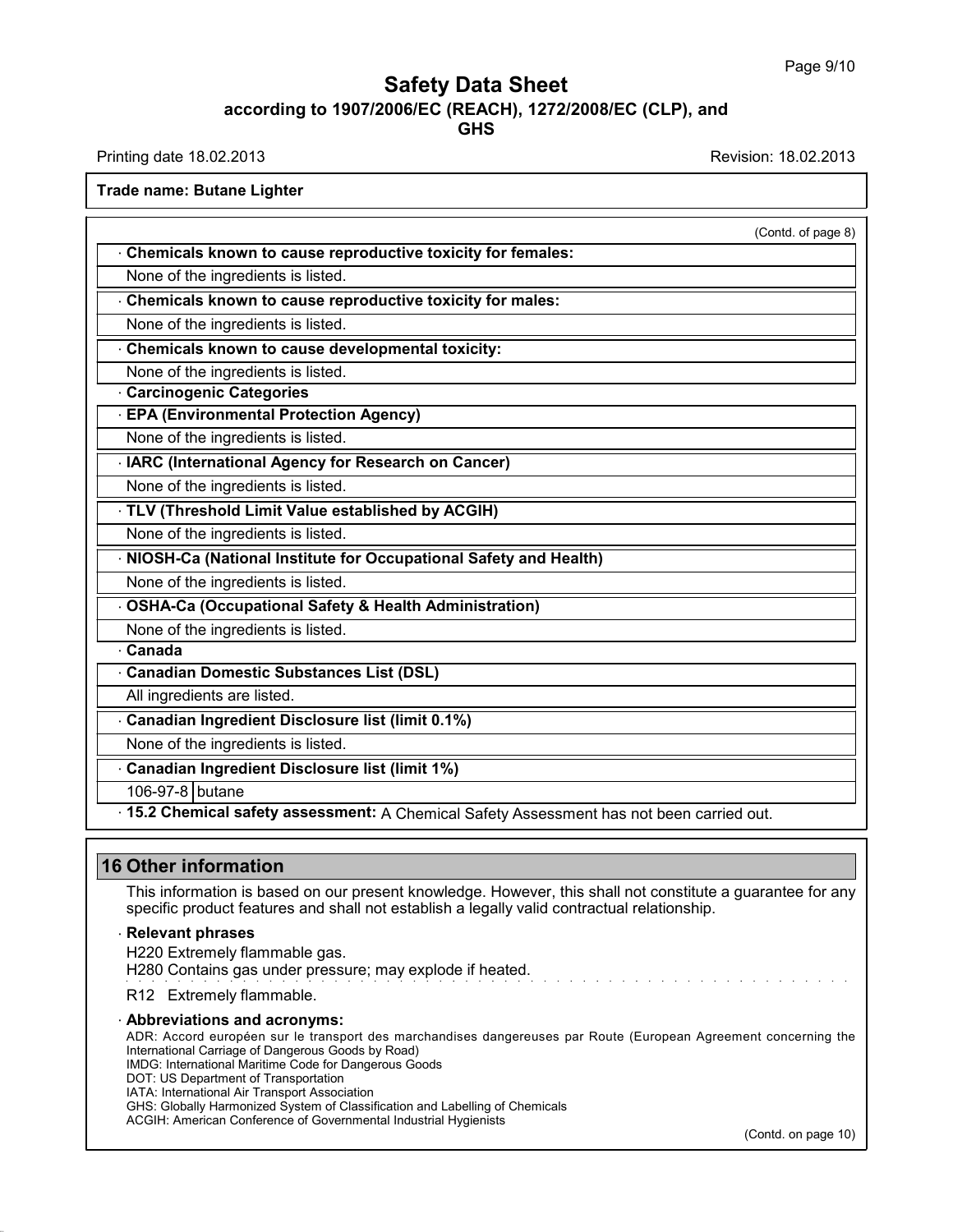Printing date 18.02.2013 **Revision: 18.02.2013** Revision: 18.02.2013

**Trade name: Butane Lighter**

|                                                                                           | (Contd. of page 8) |
|-------------------------------------------------------------------------------------------|--------------------|
| Chemicals known to cause reproductive toxicity for females:                               |                    |
| None of the ingredients is listed.                                                        |                    |
| Chemicals known to cause reproductive toxicity for males:                                 |                    |
| None of the ingredients is listed.                                                        |                    |
| Chemicals known to cause developmental toxicity:                                          |                    |
| None of the ingredients is listed.                                                        |                    |
| <b>Carcinogenic Categories</b>                                                            |                    |
| <b>EPA (Environmental Protection Agency)</b>                                              |                    |
| None of the ingredients is listed.                                                        |                    |
| IARC (International Agency for Research on Cancer)                                        |                    |
| None of the ingredients is listed.                                                        |                    |
| TLV (Threshold Limit Value established by ACGIH)                                          |                    |
| None of the ingredients is listed.                                                        |                    |
| NIOSH-Ca (National Institute for Occupational Safety and Health)                          |                    |
| None of the ingredients is listed.                                                        |                    |
| <b>OSHA-Ca (Occupational Safety &amp; Health Administration)</b>                          |                    |
| None of the ingredients is listed.                                                        |                    |
| Canada                                                                                    |                    |
| - Canadian Domestic Substances List (DSL)                                                 |                    |
| All ingredients are listed.                                                               |                    |
| Canadian Ingredient Disclosure list (limit 0.1%)                                          |                    |
| None of the ingredients is listed.                                                        |                    |
| Canadian Ingredient Disclosure list (limit 1%)                                            |                    |
| 106-97-8 butane                                                                           |                    |
| . 15.2 Chemical safety assessment: A Chemical Safety Assessment has not been carried out. |                    |

This information is based on our present knowledge. However, this shall not constitute a guarantee for any specific product features and shall not establish a legally valid contractual relationship.

#### · **Relevant phrases**

H220 Extremely flammable gas.

H280 Contains gas under pressure; may explode if heated.

R12 Extremely flammable.

#### · **Abbreviations and acronyms:**

ADR: Accord européen sur le transport des marchandises dangereuses par Route (European Agreement concerning the International Carriage of Dangerous Goods by Road) IMDG: International Maritime Code for Dangerous Goods

DOT: US Department of Transportation

IATA: International Air Transport Association

GHS: Globally Harmonized System of Classification and Labelling of Chemicals

ACGIH: American Conference of Governmental Industrial Hygienists

(Contd. on page 10)